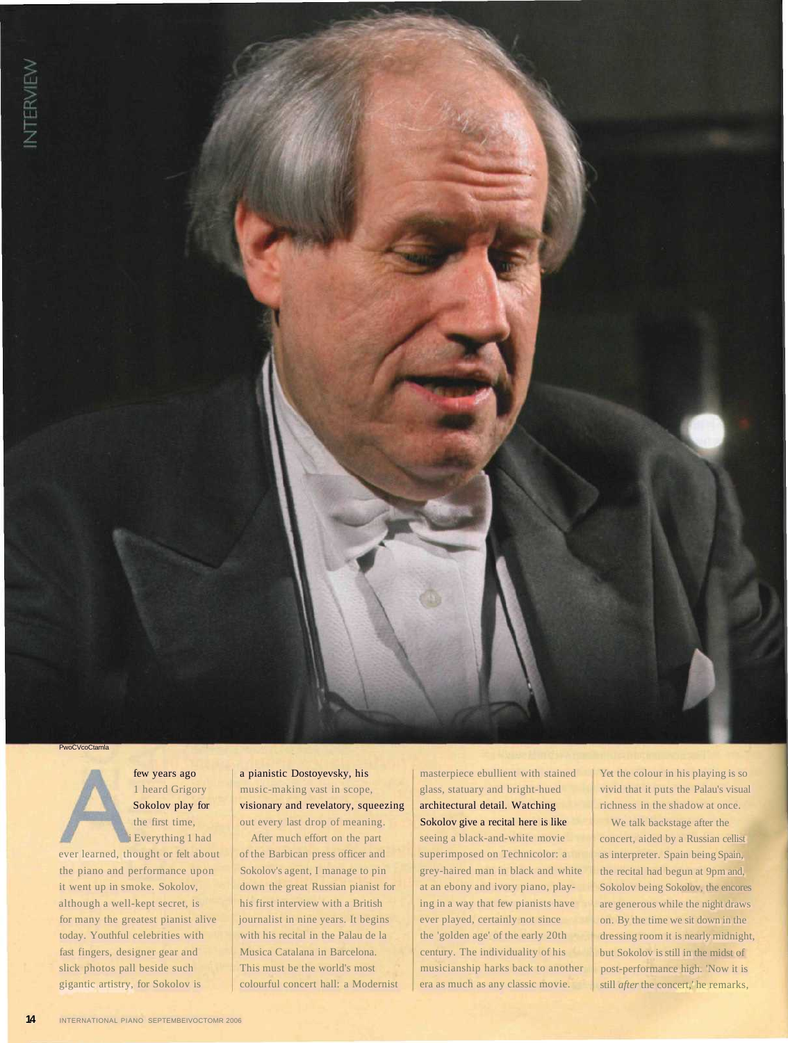**PwoCVcoCtamla** 

few years ago 1 heard Grigory Sokolov play for the first time, i Everything 1 had

ever learned, thought or felt about the piano and performance upon it went up in smoke. Sokolov, although a well-kept secret, is for many the greatest pianist alive today. Youthful celebrities with fast fingers, designer gear and slick photos pall beside such gigantic artistry, for Sokolov is

a pianistic Dostoyevsky, his music-making vast in scope, visionary and revelatory, squeezing out every last drop of meaning.

After much effort on the part of the Barbican press officer and Sokolov's agent, I manage to pin down the great Russian pianist for his first interview with a British journalist in nine years. It begins with his recital in the Palau de la Musica Catalana in Barcelona. This must be the world's most colourful concert hall: a Modernist masterpiece ebullient with stained glass, statuary and bright-hued architectural detail. Watching Sokolov give a recital here is like seeing a black-and-white movie superimposed on Technicolor: a grey-haired man in black and white at an ebony and ivory piano, playing in a way that few pianists have ever played, certainly not since the 'golden age' of the early 20th century. The individuality of his musicianship harks back to another era as much as any classic movie.

Yet the colour in his playing is so vivid that it puts the Palau's visual richness in the shadow at once.

We talk backstage after the concert, aided by a Russian cellist as interpreter. Spain being Spain, the recital had begun at 9pm and, Sokolov being Sokolov, the encores are generous while the night draws on. By the time we sit down in the dressing room it is nearly midnight, but Sokolov is still in the midst of post-performance high. 'Now it is still *after* the concert,' he remarks,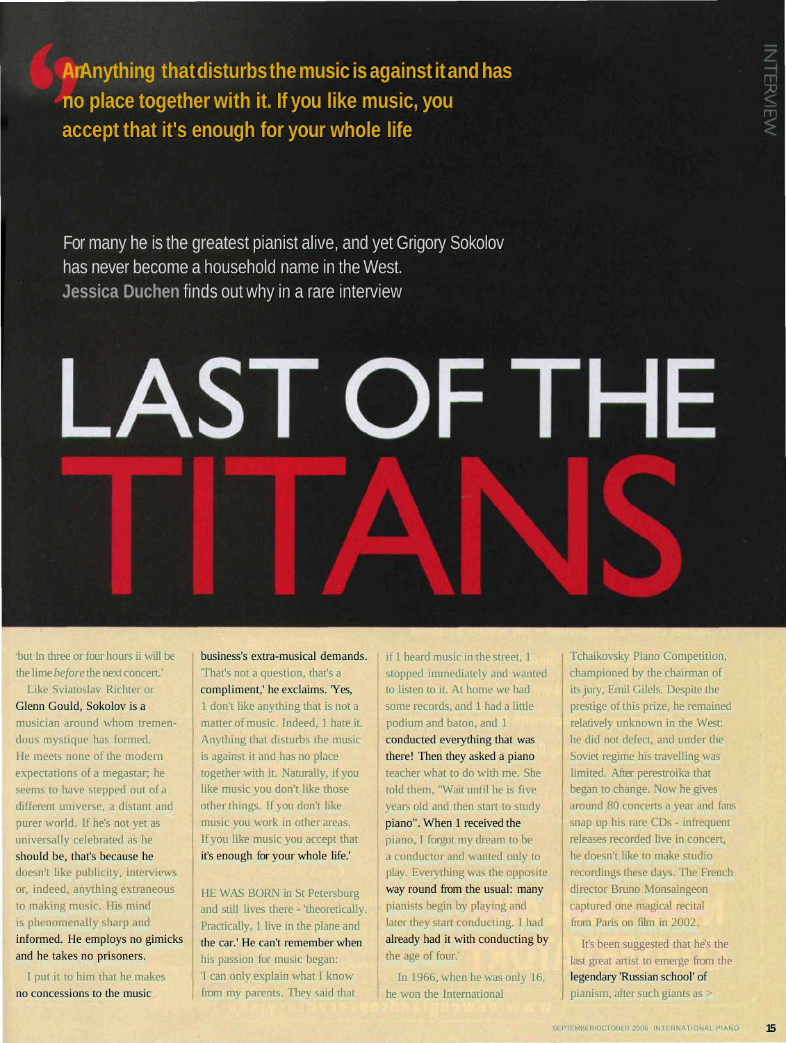**Anything that disturbs the music is against it and has no place together with it. If you like music, you accept that it's enough for your whole life**

For many he is the greatest pianist alive, and yet Grigory Sokolov has never become a household name in the West. **Jessica Duchen** finds out why in a rare interview

## LAST OF THE

but in three or four hours ii will be the lime *before* the next concert.'

Like Sviatoslav Richter or Glenn Gould, Sokolov is a musician around whom tremendous mystique has formed. He meets none of the modern expectations of a megastar; he seems to have stepped out of a different universe, a distant and purer world. If he's not yet as universally celebrated as he should be, that's because he

doesn't like publicity, interviews or, indeed, anything extraneous to making music. His mind is phenomenally sharp and informed. He employs no gimicks and he takes no prisoners.

I put it to him that he makes no concessions to the music

business's extra-musical demands. 'That's not a question, that's a compliment,' he exclaims. 'Yes, 1 don't like anything that is not a matter of music. Indeed, 1 hate it. Anything that disturbs the music is against it and has no place together with it. Naturally, if you like music you don't like those other things. If you don't like music you work in other areas. If you like music you accept that it's enough for your whole life.'

HE WAS BORN in St Petersburg and still lives there - 'theoretically. Practically, 1 live in the plane and the car.' He can't remember when his passion for music began: 'I can only explain what I know from my parents. They said that

if 1 heard music in the street, 1 stopped immediately and wanted to listen to it. At home we had some records, and 1 had a little podium and baton, and 1 conducted everything that was there! Then they asked a piano teacher what to do with me. She told them, "Wait until he is five years old and then start to study piano". When 1 received the piano, I forgot my dream to be a conductor and wanted only to play. Everything was the opposite way round from the usual: many pianists begin by playing and later they start conducting. I had already had it with conducting by the age of four.'

In 1966, when he was only 16, he won the International

Tchaikovsky Piano Competition, championed by the chairman of its jury, Emil Gilels. Despite the prestige of this prize, he remained relatively unknown in the West: he did not defect, and under the Soviet regime his travelling was limited. After perestroika that began to change. Now he gives around 80 concerts a year and fans snap up his rare CDs - infrequent releases recorded live in concert, he doesn't like to make studio recordings these days. The French director Bruno Monsaingeon captured one magical recital from Paris on film in 2002.

It's been suggested that he's the last great artist to emerge from the legendary 'Russian school' of pianism, after such giants as >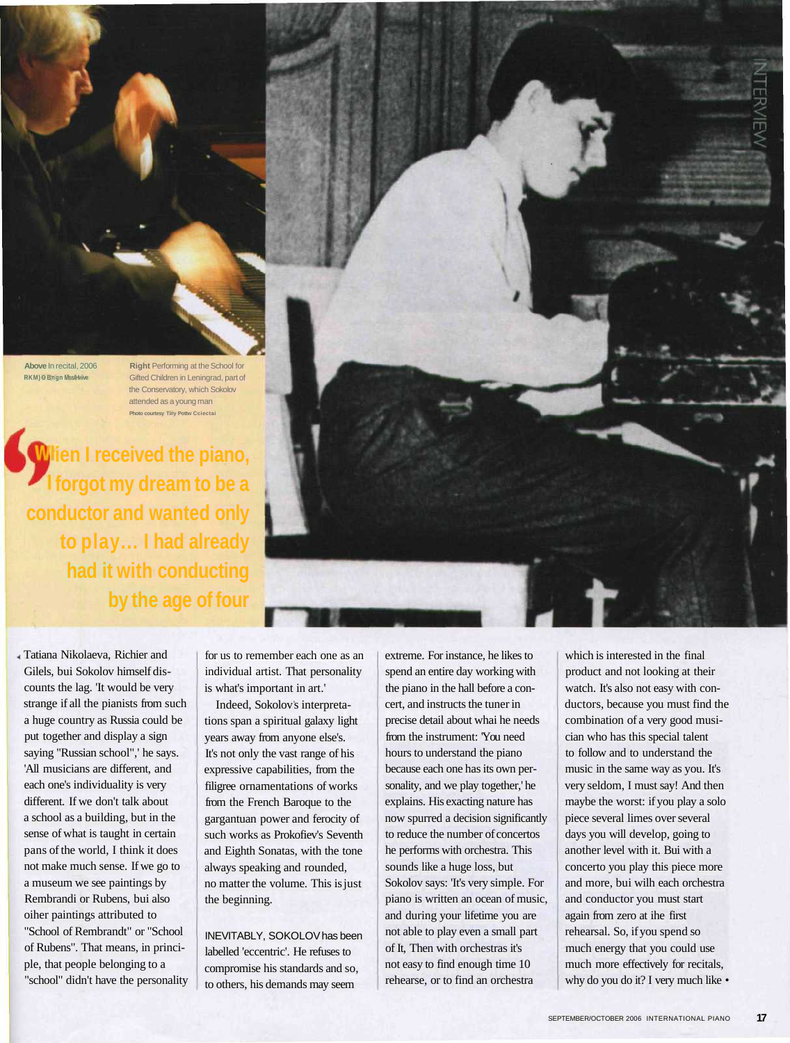**Above** In recital, 2006 **RKM) O Bngn Mss/Hwve**

**Right** Performing at the School for Gifted Children in Leningrad, part of the Conservatory, which Sokolov attended as a young man **Photo courtesy Ti#y Pottw Cciectai**

**Wien I received the piano, forgot my dream to be a conductor and wanted only to play... I had already had it with conducting by the age of four**

Tatiana Nikolaeva, Richier and Gilels, bui Sokolov himself discounts the lag. 'It would be very strange if all the pianists from such a huge country as Russia could be put together and display a sign saying "Russian school",' he says. 'All musicians are different, and each one's individuality is very different. If we don't talk about a school as a building, but in the sense of what is taught in certain pans of the world, I think it does not make much sense. If we go to a museum we see paintings by Rembrandi or Rubens, bui also oiher paintings attributed to "School of Rembrandt" or "School of Rubens". That means, in principle, that people belonging to a "school" didn't have the personality for us to remember each one as an individual artist. That personality is what's important in art.'

Indeed, Sokolov s interpretations span a spiritual galaxy light years away from anyone else's. It's not only the vast range of his expressive capabilities, from the filigree ornamentations of works from the French Baroque to the gargantuan power and ferocity of such works as Prokofiev's Seventh and Eighth Sonatas, with the tone always speaking and rounded, no matter the volume. This is just the beginning.

INEVITABLY, SOKOLOV has been labelled 'eccentric'. He refuses to compromise his standards and so, to others, his demands may seem

extreme. For instance, he likes to spend an entire day working with the piano in the hall before a concert, and instructs the tuner in precise detail about whai he needs from the instrument: 'You need hours to understand the piano because each one has its own personality, and we play together,' he explains. His exacting nature has now spurred a decision significantly to reduce the number of concertos he performs with orchestra. This sounds like a huge loss, but Sokolov says: 'It's very simple. For piano is written an ocean of music, and during your lifetime you are not able to play even a small part of It, Then with orchestras it's not easy to find enough time 10 rehearse, or to find an orchestra

which is interested in the final product and not looking at their watch. It's also not easy with conductors, because you must find the combination of a very good musician who has this special talent to follow and to understand the music in the same way as you. It's very seldom, I must say! And then maybe the worst: if you play a solo piece several limes over several days you will develop, going to another level with it. Bui with a concerto you play this piece more and more, bui wilh each orchestra and conductor you must start again from zero at ihe first rehearsal. So, if you spend so much energy that you could use much more effectively for recitals, why do you do it? I very much like •